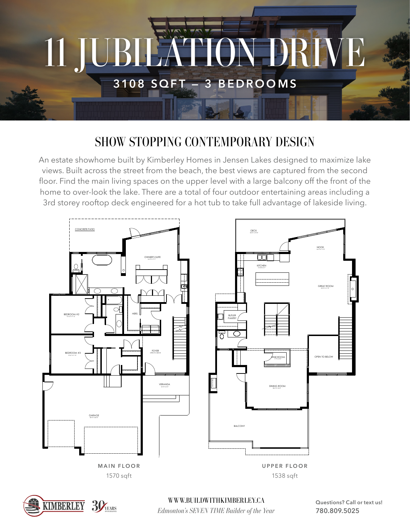

## SHOW STOPPING CONTEMPORARY DESIGN

An estate showhome built by Kimberley Homes in Jensen Lakes designed to maximize lake views. Built across the street from the beach, the best views are captured from the second floor. Find the main living spaces on the upper level with a large balcony off the front of the home to over-look the lake. There are a total of four outdoor entertaining areas including a 3rd storey rooftop deck engineered for a hot tub to take full advantage of lakeside living.





*Edmonton's SEVEN TIME Builder of the Year* WWW.BUILDWITHKIMBERLEY.CA

Questions? Call or text us! **780.809.5025**